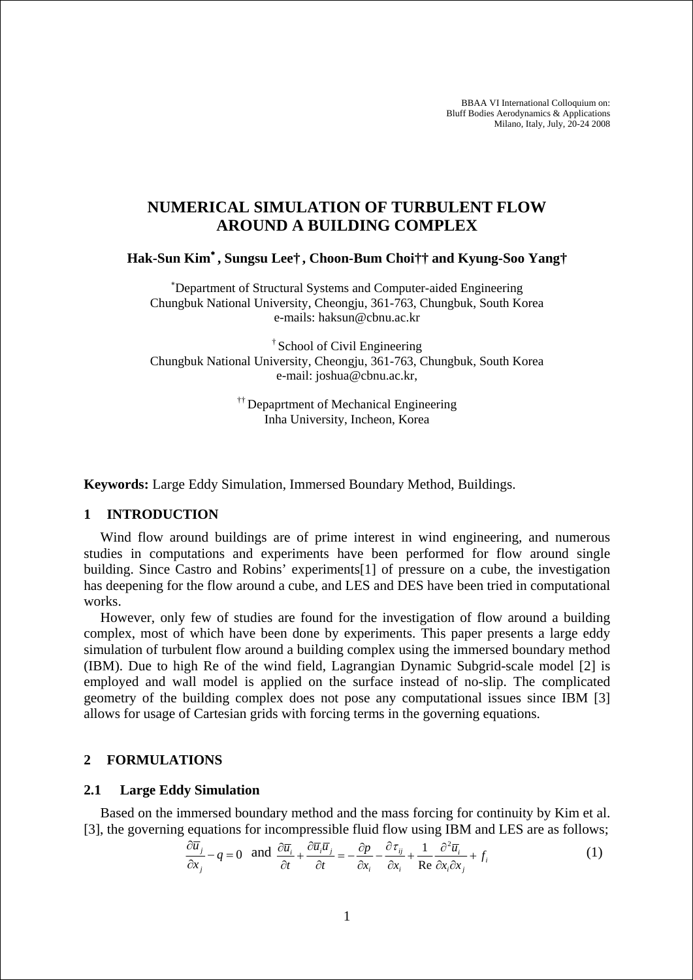BBAA VI International Colloquium on: Bluff Bodies Aerodynamics & Applications Milano, Italy, July, 20-24 2008

# **NUMERICAL SIMULATION OF TURBULENT FLOW AROUND A BUILDING COMPLEX**

**Hak-Sun Kim**<sup>∗</sup> **, Sungsu Lee† , Choon-Bum Choi†† and Kyung-Soo Yang†** 

∗ Department of Structural Systems and Computer-aided Engineering Chungbuk National University, Cheongju, 361-763, Chungbuk, South Korea e-mails: haksun@cbnu.ac.kr

† School of Civil Engineering Chungbuk National University, Cheongju, 361-763, Chungbuk, South Korea e-mail: joshua@cbnu.ac.kr,

> <sup>††</sup> Depaprtment of Mechanical Engineering Inha University, Incheon, Korea

**Keywords:** Large Eddy Simulation, Immersed Boundary Method, Buildings.

### **1 INTRODUCTION**

Wind flow around buildings are of prime interest in wind engineering, and numerous studies in computations and experiments have been performed for flow around single building. Since Castro and Robins' experiments[1] of pressure on a cube, the investigation has deepening for the flow around a cube, and LES and DES have been tried in computational works.

However, only few of studies are found for the investigation of flow around a building complex, most of which have been done by experiments. This paper presents a large eddy simulation of turbulent flow around a building complex using the immersed boundary method (IBM). Due to high Re of the wind field, Lagrangian Dynamic Subgrid-scale model [2] is employed and wall model is applied on the surface instead of no-slip. The complicated geometry of the building complex does not pose any computational issues since IBM [3] allows for usage of Cartesian grids with forcing terms in the governing equations.

### **2 FORMULATIONS**

#### **2.1 Large Eddy Simulation**

Based on the immersed boundary method and the mass forcing for continuity by Kim et al. [3], the governing equations for incompressible fluid flow using IBM and LES are as follows;

$$
\frac{\partial \overline{u}_j}{\partial x_j} - q = 0 \text{ and } \frac{\partial \overline{u}_i}{\partial t} + \frac{\partial \overline{u}_i \overline{u}_j}{\partial t} = -\frac{\partial p}{\partial x_i} - \frac{\partial \overline{\tau}_{ij}}{\partial x_i} + \frac{1}{\text{Re } \partial x_i \partial x_j} + f_i
$$
(1)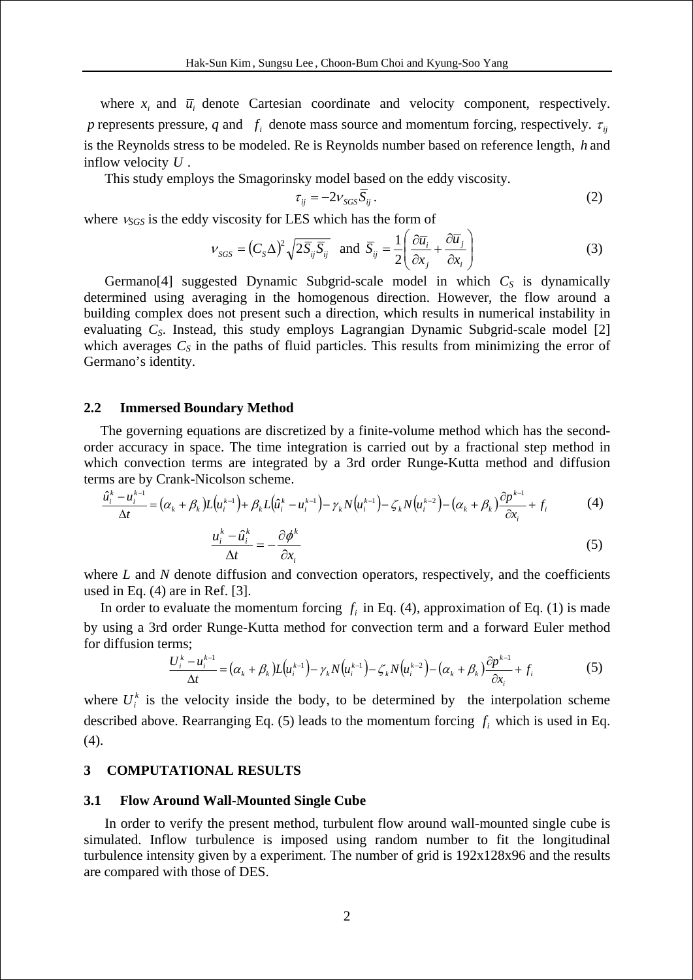where  $x_i$  and  $\overline{u}_i$  denote Cartesian coordinate and velocity component, respectively. *p* represents pressure, *q* and  $f_i$  denote mass source and momentum forcing, respectively.  $\tau_{ii}$ is the Reynolds stress to be modeled. Re is Reynolds number based on reference length, *h* and inflow velocity *U* .

This study employs the Smagorinsky model based on the eddy viscosity.

$$
\tau_{ij} = -2v_{SGS}\overline{S}_{ij} \,. \tag{2}
$$

where <sup>ν</sup>*SGS* is the eddy viscosity for LES which has the form of

$$
v_{SGS} = (C_S \Delta)^2 \sqrt{2 \bar{S}_{ij} \bar{S}_{ij}} \text{ and } \bar{S}_{ij} = \frac{1}{2} \left( \frac{\partial \bar{u}_i}{\partial x_j} + \frac{\partial \bar{u}_j}{\partial x_i} \right)
$$
(3)

Germano<sup>[4]</sup> suggested Dynamic Subgrid-scale model in which  $C<sub>S</sub>$  is dynamically determined using averaging in the homogenous direction. However, the flow around a building complex does not present such a direction, which results in numerical instability in evaluating *C<sub>S</sub>*. Instead, this study employs Lagrangian Dynamic Subgrid-scale model [2] which averages  $C_S$  in the paths of fluid particles. This results from minimizing the error of Germano's identity.

#### **2.2 Immersed Boundary Method**

The governing equations are discretized by a finite-volume method which has the secondorder accuracy in space. The time integration is carried out by a fractional step method in which convection terms are integrated by a 3rd order Runge-Kutta method and diffusion terms are by Crank-Nicolson scheme.

$$
\frac{\hat{u}_i^k - u_i^{k-1}}{\Delta t} = (\alpha_k + \beta_k)L(u_i^{k-1}) + \beta_k L(\hat{u}_i^k - u_i^{k-1}) - \gamma_k N(u_i^{k-1}) - \zeta_k N(u_i^{k-2}) - (\alpha_k + \beta_k)\frac{\partial p^{k-1}}{\partial x_i} + f_i
$$
(4)  

$$
\frac{u_i^k - \hat{u}_i^k}{\Delta t} = -\frac{\partial \phi^k}{\partial x_i}
$$
(5)

where *L* and *N* denote diffusion and convection operators, respectively, and the coefficients used in Eq. (4) are in Ref. [3].

In order to evaluate the momentum forcing  $f_i$  in Eq. (4), approximation of Eq. (1) is made by using a 3rd order Runge-Kutta method for convection term and a forward Euler method for diffusion terms;

$$
\frac{U_i^k - u_i^{k-1}}{\Delta t} = (\alpha_k + \beta_k)L(u_i^{k-1}) - \gamma_k N(u_i^{k-1}) - \zeta_k N(u_i^{k-2}) - (\alpha_k + \beta_k)\frac{\partial p^{k-1}}{\partial x_i} + f_i
$$
(5)

where  $U_i^k$  is the velocity inside the body, to be determined by the interpolation scheme described above. Rearranging Eq. (5) leads to the momentum forcing  $f_i$  which is used in Eq. (4).

### **3 COMPUTATIONAL RESULTS**

#### **3.1 Flow Around Wall-Mounted Single Cube**

In order to verify the present method, turbulent flow around wall-mounted single cube is simulated. Inflow turbulence is imposed using random number to fit the longitudinal turbulence intensity given by a experiment. The number of grid is 192x128x96 and the results are compared with those of DES.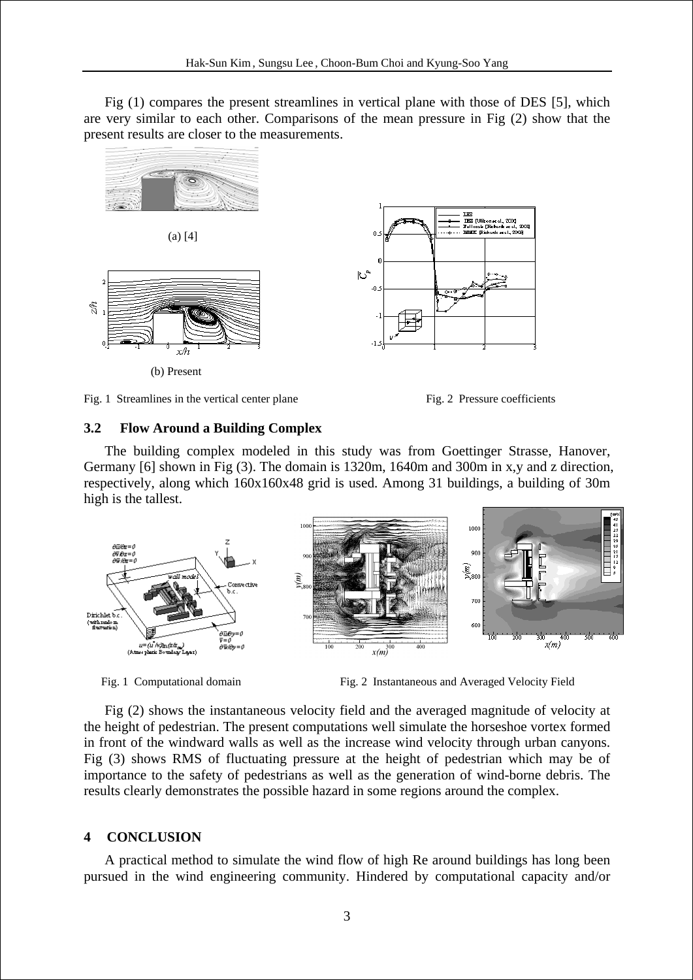Fig (1) compares the present streamlines in vertical plane with those of DES [5], which are very similar to each other. Comparisons of the mean pressure in Fig (2) show that the present results are closer to the measurements.



Fig. 1 Streamlines in the vertical center plane Fig. 2 Pressure coefficients

### **3.2 Flow Around a Building Complex**

The building complex modeled in this study was from Goettinger Strasse, Hanover, Germany [6] shown in Fig (3). The domain is 1320m, 1640m and 300m in x,y and z direction, respectively, along which 160x160x48 grid is used. Among 31 buildings, a building of 30m high is the tallest.



Fig. 1 Computational domain Fig. 2 Instantaneous and Averaged Velocity Field

Fig (2) shows the instantaneous velocity field and the averaged magnitude of velocity at the height of pedestrian. The present computations well simulate the horseshoe vortex formed in front of the windward walls as well as the increase wind velocity through urban canyons. Fig (3) shows RMS of fluctuating pressure at the height of pedestrian which may be of importance to the safety of pedestrians as well as the generation of wind-borne debris. The results clearly demonstrates the possible hazard in some regions around the complex.

## **4 CONCLUSION**

A practical method to simulate the wind flow of high Re around buildings has long been pursued in the wind engineering community. Hindered by computational capacity and/or